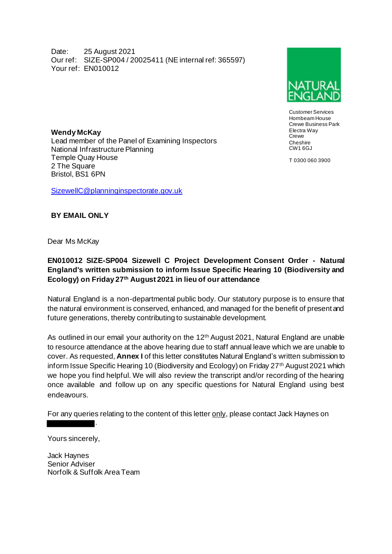Date: 25 August 2021 Our ref: SIZE-SP004 / 20025411 (NE internal ref: 365597) Your ref: EN010012



Customer Services Hornbeam House Crewe Business Park Electra Way **Crewe Cheshire** CW1 6GJ

T 0300 060 3900

**Wendy McKay**  Lead member of the Panel of Examining Inspectors National Infrastructure Planning Temple Quay House 2 The Square Bristol, BS1 6PN

[SizewellC@planninginspectorate.gov.uk](mailto:SizewellC@planninginspectorate.gov.uk)

## **BY EMAIL ONLY**

## Dear Ms McKay

## **EN010012 SIZE-SP004 Sizewell C Project Development Consent Order - Natural England's written submission to inform Issue Specific Hearing 10 (Biodiversity and Ecology) on Friday 27th August 2021 in lieu of our attendance**

Natural England is a non-departmental public body. Our statutory purpose is to ensure that the natural environment is conserved, enhanced, and managed for the benefit of present and future generations, thereby contributing to sustainable development.

As outlined in our email your authority on the 12<sup>th</sup> August 2021, Natural England are unable to resource attendance at the above hearing due to staff annual leave which we are unable to cover. As requested, **Annex I** of this letter constitutes Natural England's written submission to inform Issue Specific Hearing 10 (Biodiversity and Ecology) on Friday 27th August 2021 which we hope you find helpful. We will also review the transcript and/or recording of the hearing once available and follow up on any specific questions for Natural England using best endeavours.

For any queries relating to the content of this letter only, please contact Jack Haynes on

Yours sincerely,

Jack Haynes Senior Adviser Norfolk & Suffolk Area Team

.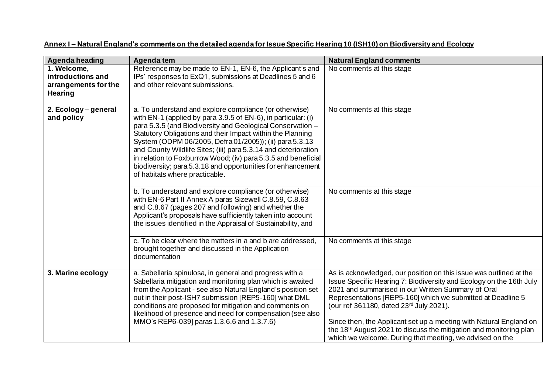| Agenda heading                                                             | Agenda tem                                                                                                                                                                                                                                                                                                                                                                                                                                                                                                                                         | <b>Natural England comments</b>                                                                                                                                                                                                                                                                                                                                                                                                                                                                                               |
|----------------------------------------------------------------------------|----------------------------------------------------------------------------------------------------------------------------------------------------------------------------------------------------------------------------------------------------------------------------------------------------------------------------------------------------------------------------------------------------------------------------------------------------------------------------------------------------------------------------------------------------|-------------------------------------------------------------------------------------------------------------------------------------------------------------------------------------------------------------------------------------------------------------------------------------------------------------------------------------------------------------------------------------------------------------------------------------------------------------------------------------------------------------------------------|
| 1. Welcome,<br>introductions and<br>arrangements for the<br><b>Hearing</b> | Reference may be made to EN-1, EN-6, the Applicant's and<br>IPs' responses to ExQ1, submissions at Deadlines 5 and 6<br>and other relevant submissions.                                                                                                                                                                                                                                                                                                                                                                                            | No comments at this stage                                                                                                                                                                                                                                                                                                                                                                                                                                                                                                     |
| 2. Ecology - general<br>and policy                                         | a. To understand and explore compliance (or otherwise)<br>with EN-1 (applied by para 3.9.5 of EN-6), in particular: (i)<br>para 5.3.5 (and Biodiversity and Geological Conservation -<br>Statutory Obligations and their Impact within the Planning<br>System (ODPM 06/2005, Defra 01/2005)); (ii) para 5.3.13<br>and County Wildlife Sites; (iii) para 5.3.14 and deterioration<br>in relation to Foxburrow Wood; (iv) para 5.3.5 and beneficial<br>biodiversity; para 5.3.18 and opportunities for enhancement<br>of habitats where practicable. | No comments at this stage                                                                                                                                                                                                                                                                                                                                                                                                                                                                                                     |
|                                                                            | b. To understand and explore compliance (or otherwise)<br>with EN-6 Part II Annex A paras Sizewell C.8.59, C.8.63<br>and C.8.67 (pages 207 and following) and whether the<br>Applicant's proposals have sufficiently taken into account<br>the issues identified in the Appraisal of Sustainability, and                                                                                                                                                                                                                                           | No comments at this stage                                                                                                                                                                                                                                                                                                                                                                                                                                                                                                     |
|                                                                            | c. To be clear where the matters in a and b are addressed.<br>brought together and discussed in the Application<br>documentation                                                                                                                                                                                                                                                                                                                                                                                                                   | No comments at this stage                                                                                                                                                                                                                                                                                                                                                                                                                                                                                                     |
| 3. Marine ecology                                                          | a. Sabellaria spinulosa, in general and progress with a<br>Sabellaria mitigation and monitoring plan which is awaited<br>from the Applicant - see also Natural England's position set<br>out in their post-ISH7 submission [REP5-160] what DML<br>conditions are proposed for mitigation and comments on<br>likelihood of presence and need for compensation (see also<br>MMO's REP6-039] paras 1.3.6.6 and 1.3.7.6)                                                                                                                               | As is acknowledged, our position on this issue was outlined at the<br>Issue Specific Hearing 7: Biodiversity and Ecology on the 16th July<br>2021 and summarised in our Written Summary of Oral<br>Representations [REP5-160] which we submitted at Deadline 5<br>(our ref 361180, dated 23rd July 2021).<br>Since then, the Applicant set up a meeting with Natural England on<br>the 18 <sup>th</sup> August 2021 to discuss the mitigation and monitoring plan<br>which we welcome. During that meeting, we advised on the |

## **Annex I – Natural England's comments on the detailed agenda for Issue Specific Hearing 10 (ISH10) on Biodiversity and Ecology**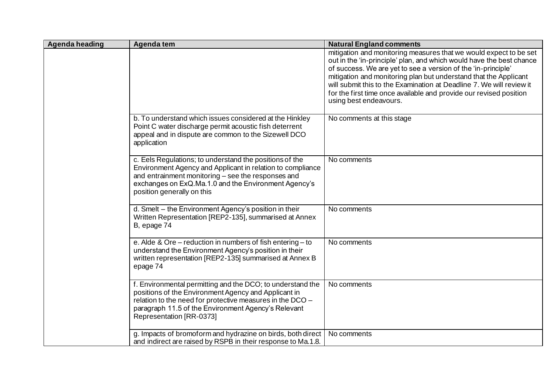| Agenda heading | Agenda tem                                                                                                                                                                                                                                                         | <b>Natural England comments</b>                                                                                                                                                                                                                                                                                                                                                                                                                        |
|----------------|--------------------------------------------------------------------------------------------------------------------------------------------------------------------------------------------------------------------------------------------------------------------|--------------------------------------------------------------------------------------------------------------------------------------------------------------------------------------------------------------------------------------------------------------------------------------------------------------------------------------------------------------------------------------------------------------------------------------------------------|
|                |                                                                                                                                                                                                                                                                    | mitigation and monitoring measures that we would expect to be set<br>out in the 'in-principle' plan, and which would have the best chance<br>of success. We are yet to see a version of the 'in-principle'<br>mitigation and monitoring plan but understand that the Applicant<br>will submit this to the Examination at Deadline 7. We will review it<br>for the first time once available and provide our revised position<br>using best endeavours. |
|                | b. To understand which issues considered at the Hinkley<br>Point C water discharge permit acoustic fish deterrent<br>appeal and in dispute are common to the Sizewell DCO<br>application                                                                           | No comments at this stage                                                                                                                                                                                                                                                                                                                                                                                                                              |
|                | c. Eels Regulations; to understand the positions of the<br>Environment Agency and Applicant in relation to compliance<br>and entrainment monitoring - see the responses and<br>exchanges on ExQ.Ma.1.0 and the Environment Agency's<br>position generally on this  | No comments                                                                                                                                                                                                                                                                                                                                                                                                                                            |
|                | d. Smelt - the Environment Agency's position in their<br>Written Representation [REP2-135], summarised at Annex<br>B, epage 74                                                                                                                                     | No comments                                                                                                                                                                                                                                                                                                                                                                                                                                            |
|                | e. Alde & Ore – reduction in numbers of fish entering – to<br>understand the Environment Agency's position in their<br>written representation [REP2-135] summarised at Annex B<br>epage 74                                                                         | No comments                                                                                                                                                                                                                                                                                                                                                                                                                                            |
|                | f. Environmental permitting and the DCO; to understand the<br>positions of the Environment Agency and Applicant in<br>relation to the need for protective measures in the DCO -<br>paragraph 11.5 of the Environment Agency's Relevant<br>Representation [RR-0373] | No comments                                                                                                                                                                                                                                                                                                                                                                                                                                            |
|                | g. Impacts of bromoform and hydrazine on birds, both direct<br>and indirect are raised by RSPB in their response to Ma.1.8.                                                                                                                                        | No comments                                                                                                                                                                                                                                                                                                                                                                                                                                            |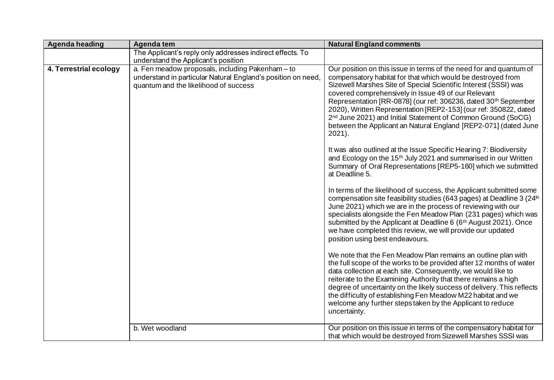| Agenda heading         | Agenda tem                                                                                                                                                | <b>Natural England comments</b>                                                                                                                                                                                                                                                                                                                                                                                                                                                                                                                                                                                                                                                                                                                                                                                                                                                                                                                                                                                                                                                                                                                                                                                                                                                                                                                                                                                                                                                                                                                                                                                                                                                                                                                                                                      |
|------------------------|-----------------------------------------------------------------------------------------------------------------------------------------------------------|------------------------------------------------------------------------------------------------------------------------------------------------------------------------------------------------------------------------------------------------------------------------------------------------------------------------------------------------------------------------------------------------------------------------------------------------------------------------------------------------------------------------------------------------------------------------------------------------------------------------------------------------------------------------------------------------------------------------------------------------------------------------------------------------------------------------------------------------------------------------------------------------------------------------------------------------------------------------------------------------------------------------------------------------------------------------------------------------------------------------------------------------------------------------------------------------------------------------------------------------------------------------------------------------------------------------------------------------------------------------------------------------------------------------------------------------------------------------------------------------------------------------------------------------------------------------------------------------------------------------------------------------------------------------------------------------------------------------------------------------------------------------------------------------------|
|                        | The Applicant's reply only addresses indirect effects. To<br>understand the Applicant's position                                                          |                                                                                                                                                                                                                                                                                                                                                                                                                                                                                                                                                                                                                                                                                                                                                                                                                                                                                                                                                                                                                                                                                                                                                                                                                                                                                                                                                                                                                                                                                                                                                                                                                                                                                                                                                                                                      |
| 4. Terrestrial ecology | a. Fen meadow proposals, including Pakenham - to<br>understand in particular Natural England's position on need,<br>quantum and the likelihood of success | Our position on this issue in terms of the need for and quantum of<br>compensatory habitat for that which would be destroyed from<br>Sizewell Marshes Site of Special Scientific Interest (SSSI) was<br>covered comprehensively in Issue 49 of our Relevant<br>Representation [RR-0878] (our ref: 306236, dated 30 <sup>th</sup> September<br>2020), Written Representation [REP2-153] (our ref: 350822, dated<br>2 <sup>nd</sup> June 2021) and Initial Statement of Common Ground (SoCG)<br>between the Applicant an Natural England [REP2-071] (dated June<br>$2021$ ).<br>It was also outlined at the Issue Specific Hearing 7: Biodiversity<br>and Ecology on the 15 <sup>th</sup> July 2021 and summarised in our Written<br>Summary of Oral Representations [REP5-160] which we submitted<br>at Deadline 5.<br>In terms of the likelihood of success, the Applicant submitted some<br>compensation site feasibility studies (643 pages) at Deadline 3 (24 <sup>th</sup><br>June 2021) which we are in the process of reviewing with our<br>specialists alongside the Fen Meadow Plan (231 pages) which was<br>submitted by the Applicant at Deadline 6 (6 <sup>th</sup> August 2021). Once<br>we have completed this review, we will provide our updated<br>position using best endeavours.<br>We note that the Fen Meadow Plan remains an outline plan with<br>the full scope of the works to be provided after 12 months of water<br>data collection at each site. Consequently, we would like to<br>reiterate to the Examining Authority that there remains a high<br>degree of uncertainty on the likely success of delivery. This reflects<br>the difficulty of establishing Fen Meadow M22 habitat and we<br>welcome any further steps taken by the Applicant to reduce<br>uncertainty. |
|                        | b. Wet woodland                                                                                                                                           | Our position on this issue in terms of the compensatory habitat for<br>that which would be destroyed from Sizewell Marshes SSSI was                                                                                                                                                                                                                                                                                                                                                                                                                                                                                                                                                                                                                                                                                                                                                                                                                                                                                                                                                                                                                                                                                                                                                                                                                                                                                                                                                                                                                                                                                                                                                                                                                                                                  |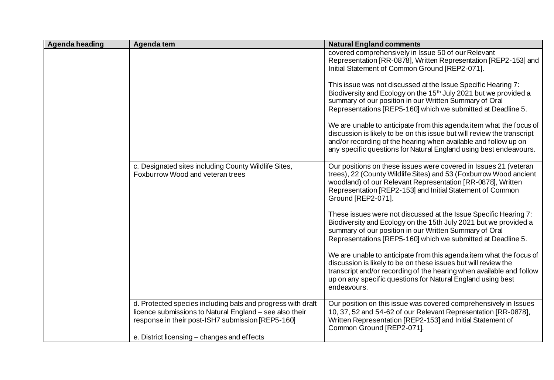| Agenda heading | Agenda tem                                                                                                                                                                  | <b>Natural England comments</b>                                                                                                                                                                                                                                                             |
|----------------|-----------------------------------------------------------------------------------------------------------------------------------------------------------------------------|---------------------------------------------------------------------------------------------------------------------------------------------------------------------------------------------------------------------------------------------------------------------------------------------|
|                |                                                                                                                                                                             | covered comprehensively in Issue 50 of our Relevant<br>Representation [RR-0878], Written Representation [REP2-153] and<br>Initial Statement of Common Ground [REP2-071].                                                                                                                    |
|                |                                                                                                                                                                             | This issue was not discussed at the Issue Specific Hearing 7:<br>Biodiversity and Ecology on the 15 <sup>th</sup> July 2021 but we provided a<br>summary of our position in our Written Summary of Oral<br>Representations [REP5-160] which we submitted at Deadline 5.                     |
|                |                                                                                                                                                                             | We are unable to anticipate from this agenda item what the focus of<br>discussion is likely to be on this issue but will review the transcript<br>and/or recording of the hearing when available and follow up on<br>any specific questions for Natural England using best endeavours.      |
|                | c. Designated sites including County Wildlife Sites,<br>Foxburrow Wood and veteran trees                                                                                    | Our positions on these issues were covered in Issues 21 (veteran<br>trees), 22 (County Wildlife Sites) and 53 (Foxburrow Wood ancient<br>woodland) of our Relevant Representation [RR-0878], Written<br>Representation [REP2-153] and Initial Statement of Common<br>Ground [REP2-071].     |
|                |                                                                                                                                                                             | These issues were not discussed at the Issue Specific Hearing 7:<br>Biodiversity and Ecology on the 15th July 2021 but we provided a<br>summary of our position in our Written Summary of Oral<br>Representations [REP5-160] which we submitted at Deadline 5.                              |
|                |                                                                                                                                                                             | We are unable to anticipate from this agenda item what the focus of<br>discussion is likely to be on these issues but will review the<br>transcript and/or recording of the hearing when available and follow<br>up on any specific questions for Natural England using best<br>endeavours. |
|                | d. Protected species including bats and progress with draft<br>licence submissions to Natural England - see also their<br>response in their post-ISH7 submission [REP5-160] | Our position on this issue was covered comprehensively in Issues<br>10, 37, 52 and 54-62 of our Relevant Representation [RR-0878],<br>Written Representation [REP2-153] and Initial Statement of<br>Common Ground [REP2-071].                                                               |
|                | e. District licensing – changes and effects                                                                                                                                 |                                                                                                                                                                                                                                                                                             |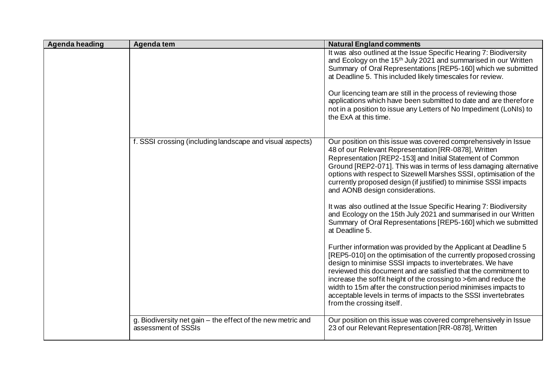| Agenda heading | Agenda tem                                                                         | <b>Natural England comments</b>                                                                                                                                                                                                                                                                                                                                                                                                                                                                             |
|----------------|------------------------------------------------------------------------------------|-------------------------------------------------------------------------------------------------------------------------------------------------------------------------------------------------------------------------------------------------------------------------------------------------------------------------------------------------------------------------------------------------------------------------------------------------------------------------------------------------------------|
|                |                                                                                    | It was also outlined at the Issue Specific Hearing 7: Biodiversity<br>and Ecology on the 15 <sup>th</sup> July 2021 and summarised in our Written<br>Summary of Oral Representations [REP5-160] which we submitted<br>at Deadline 5. This included likely timescales for review.                                                                                                                                                                                                                            |
|                |                                                                                    | Our licencing team are still in the process of reviewing those<br>applications which have been submitted to date and are therefore<br>not in a position to issue any Letters of No Impediment (LoNIs) to<br>the ExA at this time.                                                                                                                                                                                                                                                                           |
|                | f. SSSI crossing (including landscape and visual aspects)                          | Our position on this issue was covered comprehensively in Issue<br>48 of our Relevant Representation [RR-0878], Written<br>Representation [REP2-153] and Initial Statement of Common<br>Ground [REP2-071]. This was in terms of less damaging alternative<br>options with respect to Sizewell Marshes SSSI, optimisation of the<br>currently proposed design (if justified) to minimise SSSI impacts<br>and AONB design considerations.                                                                     |
|                |                                                                                    | It was also outlined at the Issue Specific Hearing 7: Biodiversity<br>and Ecology on the 15th July 2021 and summarised in our Written<br>Summary of Oral Representations [REP5-160] which we submitted<br>at Deadline 5.                                                                                                                                                                                                                                                                                    |
|                |                                                                                    | Further information was provided by the Applicant at Deadline 5<br>[REP5-010] on the optimisation of the currently proposed crossing<br>design to minimise SSSI impacts to invertebrates. We have<br>reviewed this document and are satisfied that the commitment to<br>increase the soffit height of the crossing to >6m and reduce the<br>width to 15m after the construction period minimises impacts to<br>acceptable levels in terms of impacts to the SSSI invertebrates<br>from the crossing itself. |
|                | g. Biodiversity net gain – the effect of the new metric and<br>assessment of SSSIs | Our position on this issue was covered comprehensively in Issue<br>23 of our Relevant Representation [RR-0878], Written                                                                                                                                                                                                                                                                                                                                                                                     |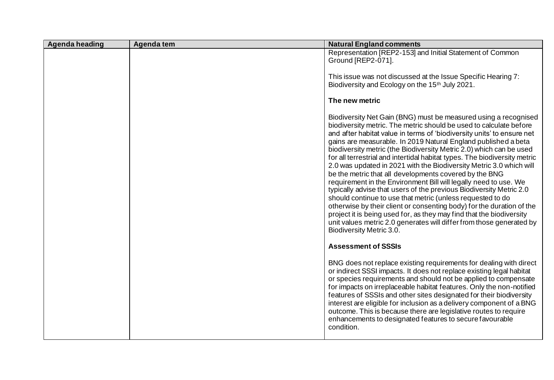| Agenda heading | Agenda tem | <b>Natural England comments</b>                                                                                                                                                                                                                                                                                                                                                                                                                                                                                                                                                                                                                                                                                                                                                                                                                                                                                                                                                                                                      |
|----------------|------------|--------------------------------------------------------------------------------------------------------------------------------------------------------------------------------------------------------------------------------------------------------------------------------------------------------------------------------------------------------------------------------------------------------------------------------------------------------------------------------------------------------------------------------------------------------------------------------------------------------------------------------------------------------------------------------------------------------------------------------------------------------------------------------------------------------------------------------------------------------------------------------------------------------------------------------------------------------------------------------------------------------------------------------------|
|                |            | Representation [REP2-153] and Initial Statement of Common<br>Ground [REP2-071].                                                                                                                                                                                                                                                                                                                                                                                                                                                                                                                                                                                                                                                                                                                                                                                                                                                                                                                                                      |
|                |            | This issue was not discussed at the Issue Specific Hearing 7:<br>Biodiversity and Ecology on the 15 <sup>th</sup> July 2021.                                                                                                                                                                                                                                                                                                                                                                                                                                                                                                                                                                                                                                                                                                                                                                                                                                                                                                         |
|                |            | The new metric                                                                                                                                                                                                                                                                                                                                                                                                                                                                                                                                                                                                                                                                                                                                                                                                                                                                                                                                                                                                                       |
|                |            | Biodiversity Net Gain (BNG) must be measured using a recognised<br>biodiversity metric. The metric should be used to calculate before<br>and after habitat value in terms of 'biodiversity units' to ensure net<br>gains are measurable. In 2019 Natural England published a beta<br>biodiversity metric (the Biodiversity Metric 2.0) which can be used<br>for all terrestrial and intertidal habitat types. The biodiversity metric<br>2.0 was updated in 2021 with the Biodiversity Metric 3.0 which will<br>be the metric that all developments covered by the BNG<br>requirement in the Environment Bill will legally need to use. We<br>typically advise that users of the previous Biodiversity Metric 2.0<br>should continue to use that metric (unless requested to do<br>otherwise by their client or consenting body) for the duration of the<br>project it is being used for, as they may find that the biodiversity<br>unit values metric 2.0 generates will differ from those generated by<br>Biodiversity Metric 3.0. |
|                |            | <b>Assessment of SSSIs</b>                                                                                                                                                                                                                                                                                                                                                                                                                                                                                                                                                                                                                                                                                                                                                                                                                                                                                                                                                                                                           |
|                |            | BNG does not replace existing requirements for dealing with direct<br>or indirect SSSI impacts. It does not replace existing legal habitat<br>or species requirements and should not be applied to compensate<br>for impacts on irreplaceable habitat features. Only the non-notified<br>features of SSSIs and other sites designated for their biodiversity<br>interest are eligible for inclusion as a delivery component of a BNG<br>outcome. This is because there are legislative routes to require<br>enhancements to designated features to secure favourable<br>condition.                                                                                                                                                                                                                                                                                                                                                                                                                                                   |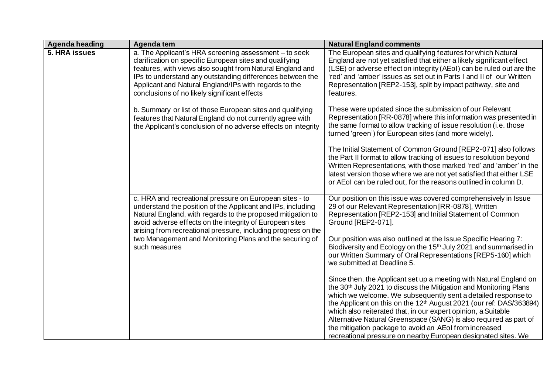| Agenda heading | Agenda tem                                                                                                                                                                                                                                                                                                                                          | <b>Natural England comments</b>                                                                                                                                                                                                                                                                                                                                                                                                                                                                                                                                          |
|----------------|-----------------------------------------------------------------------------------------------------------------------------------------------------------------------------------------------------------------------------------------------------------------------------------------------------------------------------------------------------|--------------------------------------------------------------------------------------------------------------------------------------------------------------------------------------------------------------------------------------------------------------------------------------------------------------------------------------------------------------------------------------------------------------------------------------------------------------------------------------------------------------------------------------------------------------------------|
| 5. HRA issues  | a. The Applicant's HRA screening assessment - to seek<br>clarification on specific European sites and qualifying<br>features, with views also sought from Natural England and<br>IPs to understand any outstanding differences between the<br>Applicant and Natural England/IPs with regards to the<br>conclusions of no likely significant effects | The European sites and qualifying features for which Natural<br>England are not yet satisfied that either a likely significant effect<br>(LSE) or adverse effect on integrity (AEoI) can be ruled out are the<br>'red' and 'amber' issues as set out in Parts I and II of our Written<br>Representation [REP2-153], split by impact pathway, site and<br>features.                                                                                                                                                                                                       |
|                | b. Summary or list of those European sites and qualifying<br>features that Natural England do not currently agree with<br>the Applicant's conclusion of no adverse effects on integrity                                                                                                                                                             | These were updated since the submission of our Relevant<br>Representation [RR-0878] where this information was presented in<br>the same format to allow tracking of issue resolution (i.e. those<br>turned 'green') for European sites (and more widely).                                                                                                                                                                                                                                                                                                                |
|                |                                                                                                                                                                                                                                                                                                                                                     | The Initial Statement of Common Ground [REP2-071] also follows<br>the Part II format to allow tracking of issues to resolution beyond<br>Written Representations, with those marked 'red' and 'amber' in the<br>latest version those where we are not yet satisfied that either LSE<br>or AEoI can be ruled out, for the reasons outlined in column D.                                                                                                                                                                                                                   |
|                | c. HRA and recreational pressure on European sites - to<br>understand the position of the Applicant and IPs, including<br>Natural England, with regards to the proposed mitigation to<br>avoid adverse effects on the integrity of European sites<br>arising from recreational pressure, including progress on the                                  | Our position on this issue was covered comprehensively in Issue<br>29 of our Relevant Representation [RR-0878], Written<br>Representation [REP2-153] and Initial Statement of Common<br>Ground [REP2-071].                                                                                                                                                                                                                                                                                                                                                               |
|                | two Management and Monitoring Plans and the securing of<br>such measures                                                                                                                                                                                                                                                                            | Our position was also outlined at the Issue Specific Hearing 7:<br>Biodiversity and Ecology on the 15 <sup>th</sup> July 2021 and summarised in<br>our Written Summary of Oral Representations [REP5-160] which<br>we submitted at Deadline 5.                                                                                                                                                                                                                                                                                                                           |
|                |                                                                                                                                                                                                                                                                                                                                                     | Since then, the Applicant set up a meeting with Natural England on<br>the 30 <sup>th</sup> July 2021 to discuss the Mitigation and Monitoring Plans<br>which we welcome. We subsequently sent a detailed response to<br>the Applicant on this on the 12 <sup>th</sup> August 2021 (our ref: DAS/363894)<br>which also reiterated that, in our expert opinion, a Suitable<br>Alternative Natural Greenspace (SANG) is also required as part of<br>the mitigation package to avoid an AEoI from increased<br>recreational pressure on nearby European designated sites. We |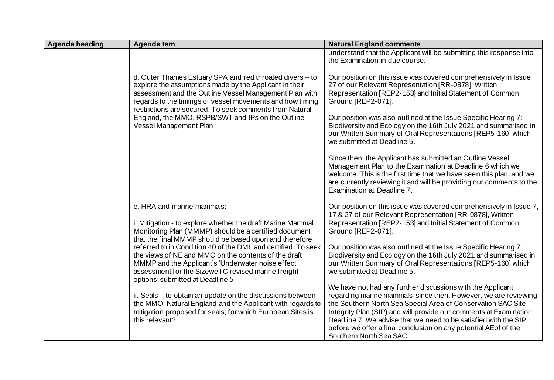| <b>Agenda heading</b> | Agenda tem                                                                                                                                                                                                                                                                                           | <b>Natural England comments</b>                                                                                                                                                                                                                                                                                                                                                                                                    |
|-----------------------|------------------------------------------------------------------------------------------------------------------------------------------------------------------------------------------------------------------------------------------------------------------------------------------------------|------------------------------------------------------------------------------------------------------------------------------------------------------------------------------------------------------------------------------------------------------------------------------------------------------------------------------------------------------------------------------------------------------------------------------------|
|                       |                                                                                                                                                                                                                                                                                                      | understand that the Applicant will be submitting this response into<br>the Examination in due course.                                                                                                                                                                                                                                                                                                                              |
|                       | d. Outer Thames Estuary SPA and red throated divers - to<br>explore the assumptions made by the Applicant in their<br>assessment and the Outline Vessel Management Plan with<br>regards to the timings of vessel movements and how timing<br>restrictions are secured. To seek comments from Natural | Our position on this issue was covered comprehensively in Issue<br>27 of our Relevant Representation [RR-0878], Written<br>Representation [REP2-153] and Initial Statement of Common<br>Ground [REP2-071].                                                                                                                                                                                                                         |
|                       | England, the MMO, RSPB/SWT and IPs on the Outline<br>Vessel Management Plan                                                                                                                                                                                                                          | Our position was also outlined at the Issue Specific Hearing 7:<br>Biodiversity and Ecology on the 16th July 2021 and summarised in<br>our Written Summary of Oral Representations [REP5-160] which<br>we submitted at Deadline 5.                                                                                                                                                                                                 |
|                       |                                                                                                                                                                                                                                                                                                      | Since then, the Applicant has submitted an Outline Vessel<br>Management Plan to the Examination at Deadline 6 which we<br>welcome. This is the first time that we have seen this plan, and we<br>are currently reviewing it and will be providing our comments to the<br>Examination at Deadline 7.                                                                                                                                |
|                       | e. HRA and marine mammals:<br>i. Mitigation - to explore whether the draft Marine Mammal<br>Monitoring Plan (MMMP) should be a certified document<br>that the final MMMP should be based upon and therefore                                                                                          | Our position on this issue was covered comprehensively in Issue 7,<br>17 & 27 of our Relevant Representation [RR-0878], Written<br>Representation [REP2-153] and Initial Statement of Common<br>Ground [REP2-071].                                                                                                                                                                                                                 |
|                       | referred to in Condition 40 of the DML and certified. To seek<br>the views of NE and MMO on the contents of the draft<br>MMMP and the Applicant's 'Underwater noise effect<br>assessment for the Sizewell C revised marine freight<br>options' submitted at Deadline 5                               | Our position was also outlined at the Issue Specific Hearing 7:<br>Biodiversity and Ecology on the 16th July 2021 and summarised in<br>our Written Summary of Oral Representations [REP5-160] which<br>we submitted at Deadline 5.                                                                                                                                                                                                 |
|                       | ii. Seals - to obtain an update on the discussions between<br>the MMO, Natural England and the Applicant with regards to<br>mitigation proposed for seals; for which European Sites is<br>this relevant?                                                                                             | We have not had any further discussions with the Applicant<br>regarding marine mammals since then. However, we are reviewing<br>the Southern North Sea Special Area of Conservation SAC Site<br>Integrity Plan (SIP) and will provide our comments at Examination<br>Deadline 7. We advise that we need to be satisfied with the SIP<br>before we offer a final conclusion on any potential AEoI of the<br>Southern North Sea SAC. |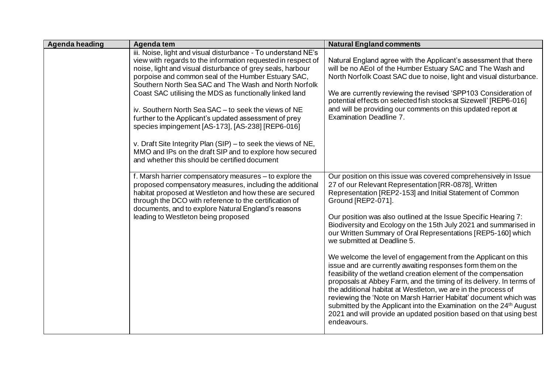| Agenda heading | Agenda tem                                                                                                                                                                                                                                                                                                                                                                                                                                                                                                                                                                                                                                                                                                                | <b>Natural England comments</b>                                                                                                                                                                                                                                                                                                                                                                                                                                                                                                                                                                                                                                                                                                                                                                                                                                                                                                                                                                                                         |
|----------------|---------------------------------------------------------------------------------------------------------------------------------------------------------------------------------------------------------------------------------------------------------------------------------------------------------------------------------------------------------------------------------------------------------------------------------------------------------------------------------------------------------------------------------------------------------------------------------------------------------------------------------------------------------------------------------------------------------------------------|-----------------------------------------------------------------------------------------------------------------------------------------------------------------------------------------------------------------------------------------------------------------------------------------------------------------------------------------------------------------------------------------------------------------------------------------------------------------------------------------------------------------------------------------------------------------------------------------------------------------------------------------------------------------------------------------------------------------------------------------------------------------------------------------------------------------------------------------------------------------------------------------------------------------------------------------------------------------------------------------------------------------------------------------|
|                | iii. Noise, light and visual disturbance - To understand NE's<br>view with regards to the information requested in respect of<br>noise, light and visual disturbance of grey seals, harbour<br>porpoise and common seal of the Humber Estuary SAC,<br>Southern North Sea SAC and The Wash and North Norfolk<br>Coast SAC utilising the MDS as functionally linked land<br>iv. Southern North Sea SAC - to seek the views of NE<br>further to the Applicant's updated assessment of prey<br>species impingement [AS-173], [AS-238] [REP6-016]<br>v. Draft Site Integrity Plan (SIP) – to seek the views of NE,<br>MMO and IPs on the draft SIP and to explore how secured<br>and whether this should be certified document | Natural England agree with the Applicant's assessment that there<br>will be no AEoI of the Humber Estuary SAC and The Wash and<br>North Norfolk Coast SAC due to noise, light and visual disturbance.<br>We are currently reviewing the revised 'SPP103 Consideration of<br>potential effects on selected fish stocks at Sizewell' [REP6-016]<br>and will be providing our comments on this updated report at<br>Examination Deadline 7.                                                                                                                                                                                                                                                                                                                                                                                                                                                                                                                                                                                                |
|                | f. Marsh harrier compensatory measures - to explore the<br>proposed compensatory measures, including the additional<br>habitat proposed at Westleton and how these are secured<br>through the DCO with reference to the certification of<br>documents, and to explore Natural England's reasons<br>leading to Westleton being proposed                                                                                                                                                                                                                                                                                                                                                                                    | Our position on this issue was covered comprehensively in Issue<br>27 of our Relevant Representation [RR-0878], Written<br>Representation [REP2-153] and Initial Statement of Common<br>Ground [REP2-071].<br>Our position was also outlined at the Issue Specific Hearing 7:<br>Biodiversity and Ecology on the 15th July 2021 and summarised in<br>our Written Summary of Oral Representations [REP5-160] which<br>we submitted at Deadline 5.<br>We welcome the level of engagement from the Applicant on this<br>issue and are currently awaiting responses form them on the<br>feasibility of the wetland creation element of the compensation<br>proposals at Abbey Farm, and the timing of its delivery. In terms of<br>the additional habitat at Westleton, we are in the process of<br>reviewing the 'Note on Marsh Harrier Habitat' document which was<br>submitted by the Applicant into the Examination on the 24 <sup>th</sup> August<br>2021 and will provide an updated position based on that using best<br>endeavours. |